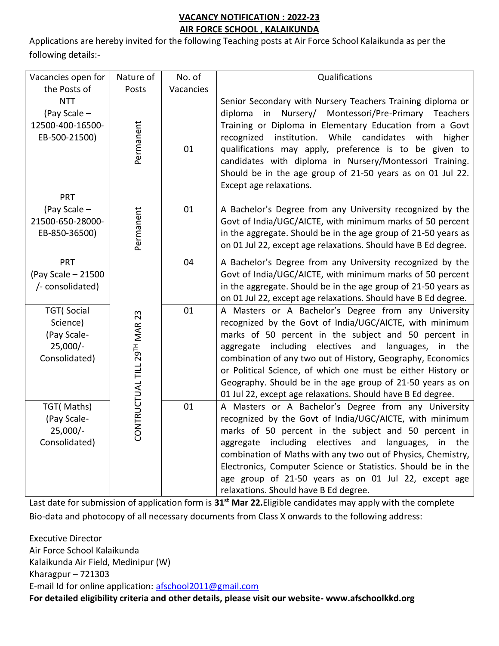# **VACANCY NOTIFICATION : 2022-23 AIR FORCE SCHOOL , KALAIKUNDA**

Applications are hereby invited for the following Teaching posts at Air Force School Kalaikunda as per the following details:-

| Vacancies open for                                                           | Nature of                    | No. of    | Qualifications                                                                                                                                                                                                                                                                                                                                                                                                                                                                                      |
|------------------------------------------------------------------------------|------------------------------|-----------|-----------------------------------------------------------------------------------------------------------------------------------------------------------------------------------------------------------------------------------------------------------------------------------------------------------------------------------------------------------------------------------------------------------------------------------------------------------------------------------------------------|
| the Posts of                                                                 | Posts                        | Vacancies |                                                                                                                                                                                                                                                                                                                                                                                                                                                                                                     |
| <b>NTT</b><br>(Pay Scale -<br>12500-400-16500-<br>EB-500-21500)              | Permanent                    | 01        | Senior Secondary with Nursery Teachers Training diploma or<br>in Nursery/ Montessori/Pre-Primary Teachers<br>diploma<br>Training or Diploma in Elementary Education from a Govt<br>recognized institution. While candidates with<br>higher<br>qualifications may apply, preference is to be given to<br>candidates with diploma in Nursery/Montessori Training.<br>Should be in the age group of 21-50 years as on 01 Jul 22.<br>Except age relaxations.                                            |
| PRT<br>(Pay Scale -<br>21500-650-28000-<br>EB-850-36500)                     | Permanent                    | 01        | A Bachelor's Degree from any University recognized by the<br>Govt of India/UGC/AICTE, with minimum marks of 50 percent<br>in the aggregate. Should be in the age group of 21-50 years as<br>on 01 Jul 22, except age relaxations. Should have B Ed degree.                                                                                                                                                                                                                                          |
| <b>PRT</b><br>(Pay Scale - 21500<br>/- consolidated)                         |                              | 04        | A Bachelor's Degree from any University recognized by the<br>Govt of India/UGC/AICTE, with minimum marks of 50 percent<br>in the aggregate. Should be in the age group of 21-50 years as<br>on 01 Jul 22, except age relaxations. Should have B Ed degree.                                                                                                                                                                                                                                          |
| <b>TGT</b> (Social<br>Science)<br>(Pay Scale-<br>$25,000/-$<br>Consolidated) | CONTRUCTUAL TILL 29TH MAR 23 | 01        | A Masters or A Bachelor's Degree from any University<br>recognized by the Govt of India/UGC/AICTE, with minimum<br>marks of 50 percent in the subject and 50 percent in<br>aggregate including electives and<br>languages,<br>the<br>in<br>combination of any two out of History, Geography, Economics<br>or Political Science, of which one must be either History or<br>Geography. Should be in the age group of 21-50 years as on<br>01 Jul 22, except age relaxations. Should have B Ed degree. |
| TGT(Maths)<br>(Pay Scale-<br>$25,000/-$<br>Consolidated)                     |                              | 01        | A Masters or A Bachelor's Degree from any University<br>recognized by the Govt of India/UGC/AICTE, with minimum<br>marks of 50 percent in the subject and 50 percent in<br>aggregate including electives and<br>languages,<br>in the<br>combination of Maths with any two out of Physics, Chemistry,<br>Electronics, Computer Science or Statistics. Should be in the<br>age group of 21-50 years as on 01 Jul 22, except age<br>relaxations. Should have B Ed degree.                              |

Last date for submission of application form is **31st Mar 22.**Eligible candidates may apply with the complete Bio-data and photocopy of all necessary documents from Class X onwards to the following address:

Executive Director Air Force School Kalaikunda Kalaikunda Air Field, Medinipur (W) Kharagpur – 721303 E-mail Id for online application: [afschool2011@gmail.com](mailto:afschool2011@gmail.com) **For detailed eligibility criteria and other details, please visit our website- www.afschoolkkd.org**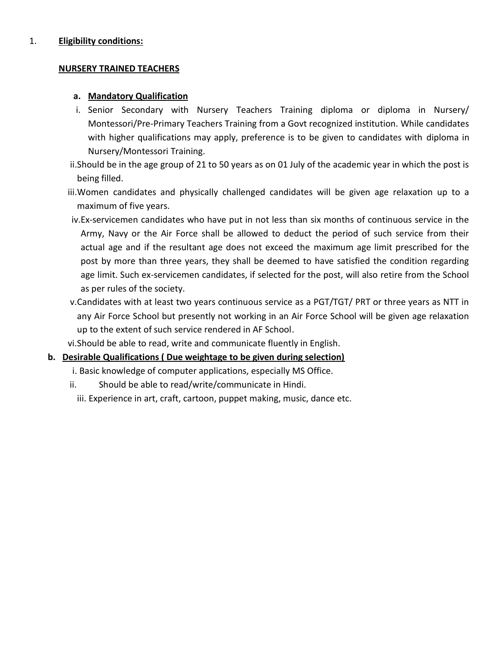### 1. **Eligibility conditions:**

#### **NURSERY TRAINED TEACHERS**

### **a. Mandatory Qualification**

- i. Senior Secondary with Nursery Teachers Training diploma or diploma in Nursery/ Montessori/Pre-Primary Teachers Training from a Govt recognized institution. While candidates with higher qualifications may apply, preference is to be given to candidates with diploma in Nursery/Montessori Training.
- ii.Should be in the age group of 21 to 50 years as on 01 July of the academic year in which the post is being filled.
- iii.Women candidates and physically challenged candidates will be given age relaxation up to a maximum of five years.
- iv.Ex-servicemen candidates who have put in not less than six months of continuous service in the Army, Navy or the Air Force shall be allowed to deduct the period of such service from their actual age and if the resultant age does not exceed the maximum age limit prescribed for the post by more than three years, they shall be deemed to have satisfied the condition regarding age limit. Such ex-servicemen candidates, if selected for the post, will also retire from the School as per rules of the society.
- v.Candidates with at least two years continuous service as a PGT/TGT/ PRT or three years as NTT in any Air Force School but presently not working in an Air Force School will be given age relaxation up to the extent of such service rendered in AF School.
- vi.Should be able to read, write and communicate fluently in English.

## **b. Desirable Qualifications ( Due weightage to be given during selection)**

- i. Basic knowledge of computer applications, especially MS Office.
- ii. Should be able to read/write/communicate in Hindi.

iii. Experience in art, craft, cartoon, puppet making, music, dance etc.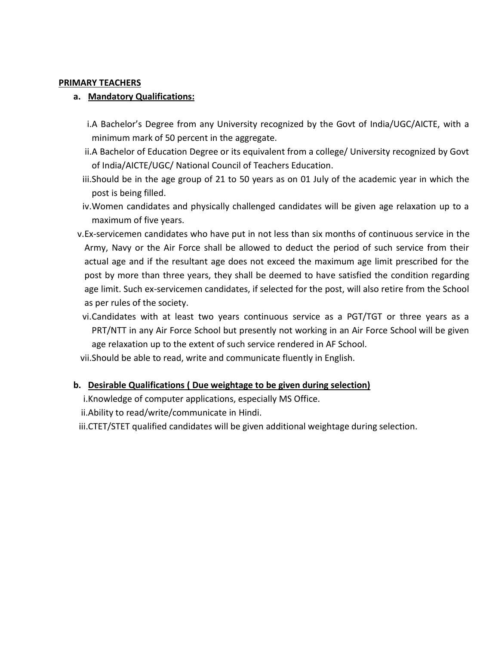#### **PRIMARY TEACHERS**

### **a. Mandatory Qualifications:**

- i.A Bachelor's Degree from any University recognized by the Govt of India/UGC/AICTE, with a minimum mark of 50 percent in the aggregate.
- ii.A Bachelor of Education Degree or its equivalent from a college/ University recognized by Govt of India/AICTE/UGC/ National Council of Teachers Education.
- iii.Should be in the age group of 21 to 50 years as on 01 July of the academic year in which the post is being filled.
- iv.Women candidates and physically challenged candidates will be given age relaxation up to a maximum of five years.
- v.Ex-servicemen candidates who have put in not less than six months of continuous service in the Army, Navy or the Air Force shall be allowed to deduct the period of such service from their actual age and if the resultant age does not exceed the maximum age limit prescribed for the post by more than three years, they shall be deemed to have satisfied the condition regarding age limit. Such ex-servicemen candidates, if selected for the post, will also retire from the School as per rules of the society.
- vi.Candidates with at least two years continuous service as a PGT/TGT or three years as a PRT/NTT in any Air Force School but presently not working in an Air Force School will be given age relaxation up to the extent of such service rendered in AF School.
- vii.Should be able to read, write and communicate fluently in English.

## **b. Desirable Qualifications ( Due weightage to be given during selection)**

- i.Knowledge of computer applications, especially MS Office.
- ii.Ability to read/write/communicate in Hindi.
- iii.CTET/STET qualified candidates will be given additional weightage during selection.